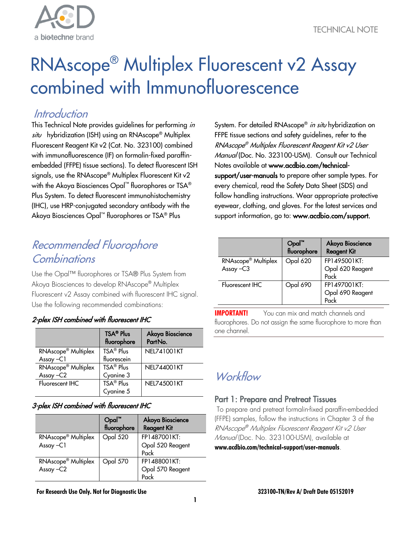

# RNAscope® Multiplex Fluorescent v2 Assay combined with Immunofluorescence

# **Introduction**

This Technical Note provides guidelines for performing in situ hybridization (ISH) using an RNAscope<sup>®</sup> Multiplex Fluorescent Reagent Kit v2 (Cat. No. 323100) combined with immunofluorescence (IF) on formalin-fixed paraffinembedded (FFPE) tissue sections). To detect fluorescent ISH signals, use the RNAscope® Multiplex Fluorescent Kit v2 with the Akoya Biosciences Opal™ fluorophores or TSA® Plus System. To detect fluorescent immunohistochemistry (IHC), use HRP-conjugated secondary antibody with the Akoya Biosciences Opal™ fluorophores or TSA® Plus

# Recommended Fluorophore Combinations

Use the Opal™ fluorophores or TSA® Plus System from Akoya Biosciences to develop RNAscope® Multiplex Fluorescent v2 Assay combined with fluorescent IHC signal. Use the following recommended combinations:

# 2-plex ISH combined with fluorescent IHC

|                                 | <b>TSA® Plus</b><br>fluorophore | Akoya Bioscience<br>PartNo. |
|---------------------------------|---------------------------------|-----------------------------|
| RNAscope <sup>®</sup> Multiplex | TSA <sup>®</sup> Plus           | NEL741001KT                 |
| Assay $-C1$                     | fluorescein                     |                             |
| RNAscope <sup>®</sup> Multiplex | TSA® Plus                       | NEL744001KT                 |
| Assay-C2                        | Cyanine 3                       |                             |
| Fluorescent IHC                 | TSA <sup>®</sup> Plus           | NFI745001KT                 |
|                                 | Cyanine 5                       |                             |

# 3-plex ISH combined with fluorescent IHC

|                                             | Opal™<br>fluorophore | Akoya Bioscience<br><b>Reagent Kit</b>   |
|---------------------------------------------|----------------------|------------------------------------------|
| RNAscope <sup>®</sup> Multiplex<br>Assay-C1 | Opal 520             | FP1487001KT:<br>Opal 520 Reagent<br>Pack |
| RNAscope <sup>®</sup> Multiplex<br>Assay-C2 | Opal 570             | FP1488001KT:<br>Opal 570 Reagent<br>Pack |

**For Research Use Only. Not for Diagnostic Use 323100-TN/Rev A/ Draft Date 05152019**

System. For detailed RNAscope® *in situ* hybridization on FFPE tissue sections and safety guidelines, refer to the RNAscope® Multiplex Fluorescent Reagent Kit v2 User Manual (Doc. No. 323100-USM). Consult our Technical Notes available at [www.acdbio.com/technical](http://acdbio.com/technical-support/user-manuals)[support/user-manuals](http://acdbio.com/technical-support/user-manuals) to prepare other sample types. For every chemical, read the Safety Data Sheet (SDS) and follow handling instructions. Wear appropriate protective eyewear, clothing, and gloves. For the latest services and support information, go to: [www.acdbio.com/support.](http://www.acdbio.com/support)

|                                             | Opal™<br>fluorophore | Akoya Bioscience<br><b>Reagent Kit</b>   |
|---------------------------------------------|----------------------|------------------------------------------|
| RNAscope <sup>®</sup> Multiplex<br>Assay-C3 | Opal 620             | FP1495001KT:<br>Opal 620 Reagent<br>Pack |
| Fluorescent IHC                             | Opal 690             | FP1497001KT:<br>Opal 690 Reagent<br>Pack |

**IMPORTANT!** You can mix and match channels and fluorophores. Do not assign the same fluorophore to more than one channel.

# Workflow

# Part 1: Prepare and Pretreat Tissues

To prepare and pretreat formalin-fixed paraffin-embedded (FFPE) samples, follow the instructions in Chapter 3 of the RNAscope® Multiplex Fluorescent Reagent Kit v2 User Manual (Doc. No. 323100-USM), available at **[www.acdbio.com/technical-support/user-manuals](http://acdbio.com/technical-support/user-manuals)**.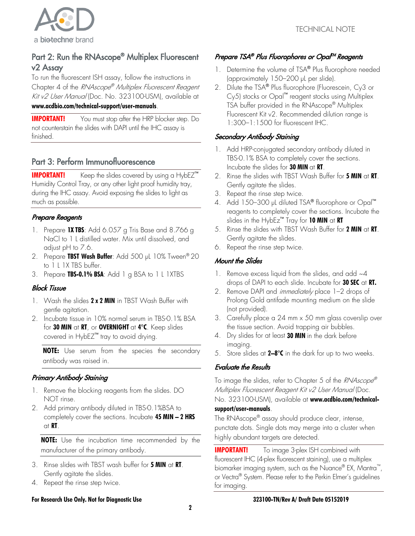

# Part 2: Run the RNAscope® Multiplex Fluorescent v2 Assay

To run the fluorescent ISH assay, follow the instructions in Chapter 4 of the RNAscope® Multiplex Fluorescent Reagent Kit v2 User Manual (Doc. No. 323100-USM), available at **[www.acdbio.com/technical-support/user-manuals](http://acdbio.com/technical-support/user-manuals)**.

**IMPORTANT!** You must stop after the HRP blocker step. Do not counterstain the slides with DAPI until the IHC assay is finished.

# Part 3: Perform Immunofluorescence

**IMPORTANT!** Keep the slides covered by using a HybEZ<sup>™</sup> Humidity Control Tray, or any other light proof humidity tray, during the IHC assay. Avoid exposing the slides to light as much as possible.

# Prepare Reagents

- 1. Prepare **1X TBS**: Add 6.057 g Tris Base and 8.766 g NaCl to 1 L distilled water. Mix until dissolved, and adjust pH to 7.6.
- 2. Prepare **TBST Wash Buffer**: Add 500 µL 10% Tween® 20 to 1 L 1X TBS buffer.
- 3. Prepare **TBS-0.1% BSA**: Add 1 g BSA to 1 L 1XTBS

# Block Tissue

- 1. Wash the slides **2 x 2 MIN** in TBST Wash Buffer with gentle agitation.
- 2. Incubate tissue in 10% normal serum in TBS-0.1% BSA for **30 MIN** at **RT**, or **OVERNIGHT** at **4°C**. Keep slides covered in HybEZ™ tray to avoid drying.

**NOTE:** Use serum from the species the secondary antibody was raised in.

# Primary Antibody Staining

- 1. Remove the blocking reagents from the slides. DO NOT rinse.
- 2. Add primary antibody diluted in TBS-0.1%BSA to completely cover the sections. Incubate **45 MIN – 2 HRS** at **RT**.

**NOTE:** Use the incubation time recommended by the manufacturer of the primary antibody.

- 3. Rinse slides with TBST wash buffer for **5 MIN** at **RT**. Gently agitate the slides.
- 4. Repeat the rinse step twice.

#### **For Research Use Only. Not for Diagnostic Use 323100-TN/Rev A/ Draft Date 05152019**

# Prepare TSA® Plus Fluorophores or Opal<sup>TM</sup> Reagents

- 1. Determine the volume of TSA® Plus fluorophore needed (approximately 150–200 µL per slide).
- 2. Dilute the TSA® Plus fluorophore (Fluorescein, Cy3 or Cy5) stocks or Opal™ reagent stocks using Multiplex TSA buffer provided in the RNAscope® Multiplex Fluorescent Kit v2. Recommended dilution range is 1:300–1:1500 for fluorescent IHC.

# Secondary Antibody Staining

- 1. Add HRP-conjugated secondary antibody diluted in TBS-0.1% BSA to completely cover the sections. Incubate the slides for **30 MIN** at **RT**.
- 2. Rinse the slides with TBST Wash Buffer for **5 MIN** at **RT**. Gently agitate the slides.
- 3. Repeat the rinse step twice.
- 4. Add 150–300 µL diluted TSA® fluorophore or Opal™ reagents to completely cover the sections. Incubate the slides in the HybEz™ Tray for **10 MIN** at **RT**
- 5. Rinse the slides with TBST Wash Buffer for **2 MIN** at **RT**. Gently agitate the slides.
- 6. Repeat the rinse step twice.

# Mount the Slides

- 1. Remove excess liquid from the slides, and add  $~4$ drops of DAPI to each slide. Incubate for **30 SEC** at **RT.**
- 2. Remove DAPI and *immediately* place 1-2 drops of Prolong Gold antifade mounting medium on the slide (not provided).
- 3. Carefully place a 24 mm x 50 mm glass coverslip over the tissue section. Avoid trapping air bubbles.
- 4. Dry slides for at least **30 MIN** in the dark before imaging.
- 5. Store slides at **2–8°C** in the dark for up to two weeks.

# Evaluate the Results

To image the slides, refer to Chapter 5 of the RNAscope® Multiplex Fluorescent Reagent Kit v2 User Manual (Doc.

#### No. 323100-USM), available at **[www.acdbio.com/technical](http://acdbio.com/technical-support/user-manuals)[support/user-manuals](http://acdbio.com/technical-support/user-manuals)**.

The RNAscope® assay should produce clear, intense, punctate dots. Single dots may merge into a cluster when highly abundant targets are detected.

**IMPORTANT!** To image 3-plex ISH combined with fluorescent IHC (4-plex fluorescent staining), use a multiplex biomarker imaging system, such as the Nuance® EX, Mantra™, or Vectra® System. Please refer to the Perkin Elmer's guidelines for imaging.